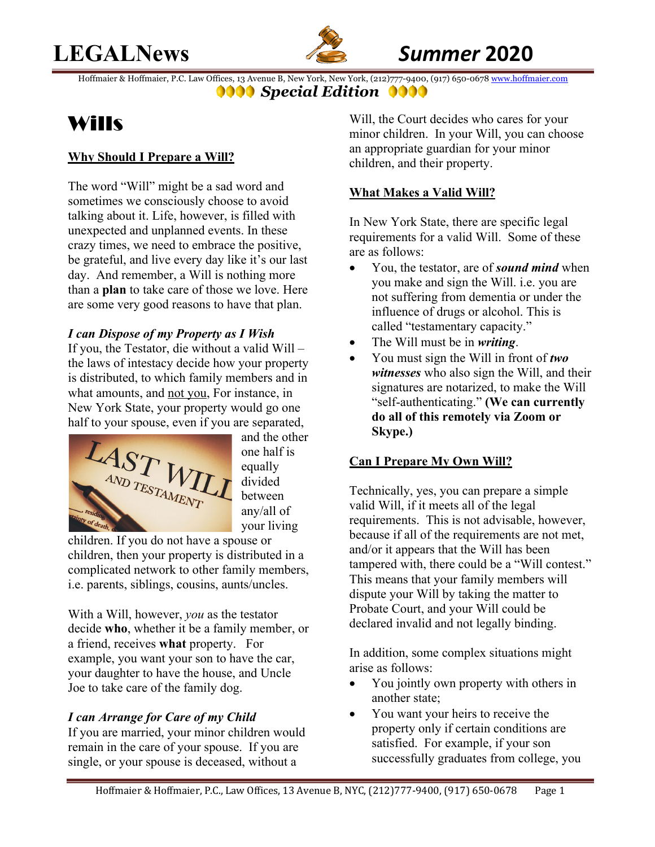# **LEGALNews** *Summer* **2020**



Hoffmaier & Hoffmaier, P.C. Law Offices, 13 Avenue B, New York, New York, (212)777-9400, (917) 650-0678 www.hoffmaier.com **9000** Special Edition **0000** 

# Wills

## **Why Should I Prepare a Will?**

The word "Will" might be a sad word and sometimes we consciously choose to avoid talking about it. Life, however, is filled with unexpected and unplanned events. In these crazy times, we need to embrace the positive, be grateful, and live every day like it's our last day. And remember, a Will is nothing more than a **plan** to take care of those we love. Here are some very good reasons to have that plan.

## *I can Dispose of my Property as I Wish*

If you, the Testator, die without a valid Will – the laws of intestacy decide how your property is distributed, to which family members and in what amounts, and not you, For instance, in New York State, your property would go one half to your spouse, even if you are separated,



and the other one half is equally divided between any/all of your living

children. If you do not have a spouse or children, then your property is distributed in a complicated network to other family members, i.e. parents, siblings, cousins, aunts/uncles.

With a Will, however, *you* as the testator decide **who**, whether it be a family member, or a friend, receives **what** property. For example, you want your son to have the car, your daughter to have the house, and Uncle Joe to take care of the family dog.

# *I can Arrange for Care of my Child*

If you are married, your minor children would remain in the care of your spouse. If you are single, or your spouse is deceased, without a

Will, the Court decides who cares for your minor children. In your Will, you can choose an appropriate guardian for your minor children, and their property.

## **What Makes a Valid Will?**

In New York State, there are specific legal requirements for a valid Will. Some of these are as follows:

- You, the testator, are of *sound mind* when you make and sign the Will. i.e. you are not suffering from dementia or under the influence of drugs or alcohol. This is called "testamentary capacity."
- The Will must be in *writing*.
- You must sign the Will in front of *two witnesses* who also sign the Will, and their signatures are notarized, to make the Will "self-authenticating." **(We can currently do all of this remotely via Zoom or Skype.)**

# **Can I Prepare My Own Will?**

Technically, yes, you can prepare a simple valid Will, if it meets all of the legal requirements. This is not advisable, however, because if all of the requirements are not met, and/or it appears that the Will has been tampered with, there could be a "Will contest." This means that your family members will dispute your Will by taking the matter to Probate Court, and your Will could be declared invalid and not legally binding.

In addition, some complex situations might arise as follows:

- You jointly own property with others in another state;
- You want your heirs to receive the property only if certain conditions are satisfied. For example, if your son successfully graduates from college, you